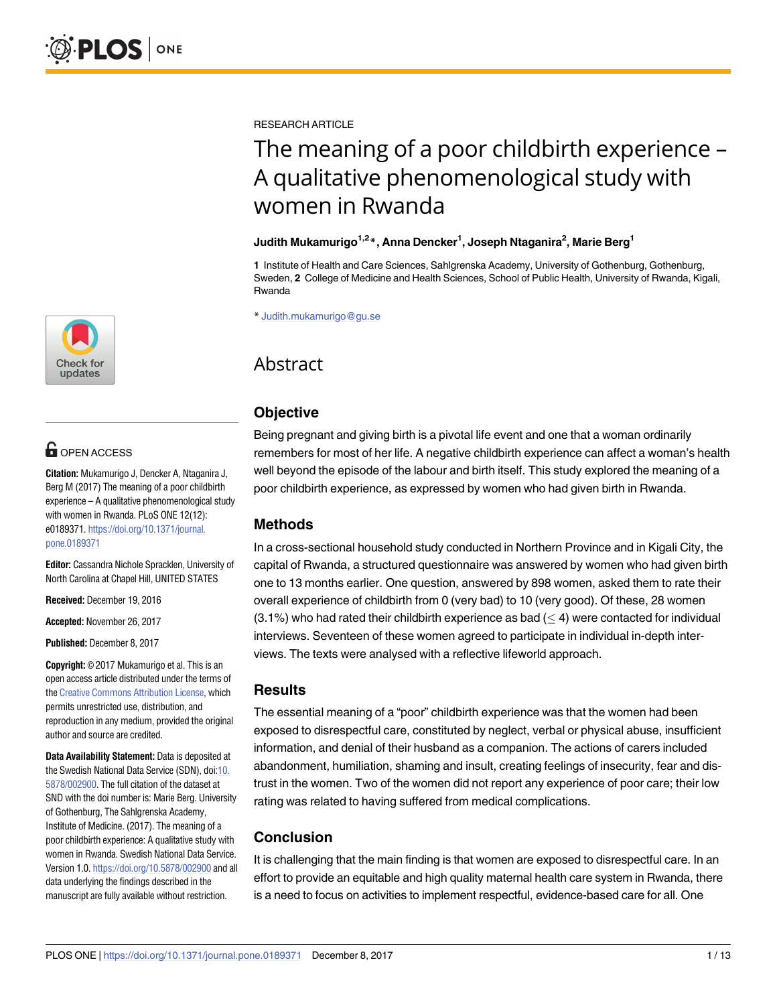

# **OPEN ACCESS**

**Citation:** Mukamurigo J, Dencker A, Ntaganira J, Berg M (2017) The meaning of a poor childbirth experience – A qualitative phenomenological study with women in Rwanda. PLoS ONE 12(12): e0189371. [https://doi.org/10.1371/journal.](https://doi.org/10.1371/journal.pone.0189371) [pone.0189371](https://doi.org/10.1371/journal.pone.0189371)

**Editor:** Cassandra Nichole Spracklen, University of North Carolina at Chapel Hill, UNITED STATES

**Received:** December 19, 2016

**Accepted:** November 26, 2017

**Published:** December 8, 2017

**Copyright:** © 2017 Mukamurigo et al. This is an open access article distributed under the terms of the Creative [Commons](http://creativecommons.org/licenses/by/4.0/) Attribution License, which permits unrestricted use, distribution, and reproduction in any medium, provided the original author and source are credited.

**Data Availability Statement:** Data is deposited at the Swedish National Data Service (SDN), doi[:10.](https://doi.org/10.5878/002900) [5878/002900.](https://doi.org/10.5878/002900) The full citation of the dataset at SND with the doi number is: Marie Berg. University of Gothenburg, The Sahlgrenska Academy, Institute of Medicine. (2017). The meaning of a poor childbirth experience: A qualitative study with women in Rwanda. Swedish National Data Service. Version 1.0. <https://doi.org/10.5878/002900> and all data underlying the findings described in the manuscript are fully available without restriction.

RESEARCH ARTICLE

# The meaning of a poor childbirth experience – A qualitative phenomenological study with women in Rwanda

#### **Judith Mukamurigo1,2\*, Anna Dencker1 , Joseph Ntaganira2 , Marie Berg1**

**1** Institute of Health and Care Sciences, Sahlgrenska Academy, University of Gothenburg, Gothenburg, Sweden, **2** College of Medicine and Health Sciences, School of Public Health, University of Rwanda, Kigali, Rwanda

\* Judith.mukamurigo@gu.se

# Abstract

# **Objective**

Being pregnant and giving birth is a pivotal life event and one that a woman ordinarily remembers for most of her life. A negative childbirth experience can affect a woman's health well beyond the episode of the labour and birth itself. This study explored the meaning of a poor childbirth experience, as expressed by women who had given birth in Rwanda.

# **Methods**

In a cross-sectional household study conducted in Northern Province and in Kigali City, the capital of Rwanda, a structured questionnaire was answered by women who had given birth one to 13 months earlier. One question, answered by 898 women, asked them to rate their overall experience of childbirth from 0 (very bad) to 10 (very good). Of these, 28 women  $(3.1\%)$  who had rated their childbirth experience as bad  $( \leq 4)$  were contacted for individual interviews. Seventeen of these women agreed to participate in individual in-depth interviews. The texts were analysed with a reflective lifeworld approach.

# **Results**

The essential meaning of a "poor" childbirth experience was that the women had been exposed to disrespectful care, constituted by neglect, verbal or physical abuse, insufficient information, and denial of their husband as a companion. The actions of carers included abandonment, humiliation, shaming and insult, creating feelings of insecurity, fear and distrust in the women. Two of the women did not report any experience of poor care; their low rating was related to having suffered from medical complications.

# **Conclusion**

It is challenging that the main finding is that women are exposed to disrespectful care. In an effort to provide an equitable and high quality maternal health care system in Rwanda, there is a need to focus on activities to implement respectful, evidence-based care for all. One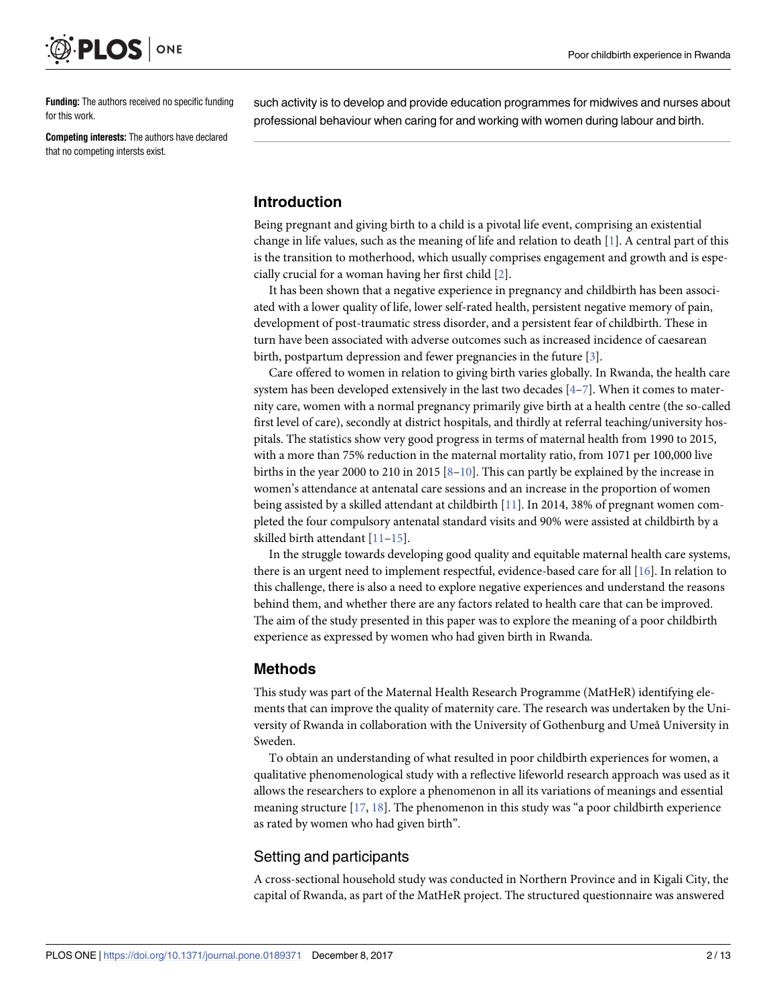<span id="page-1-0"></span>

**Funding:** The authors received no specific funding for this work.

**Competing interests:** The authors have declared that no competing intersts exist.

such activity is to develop and provide education programmes for midwives and nurses about professional behaviour when caring for and working with women during labour and birth.

# **Introduction**

Being pregnant and giving birth to a child is a pivotal life event, comprising an existential change in life values, such as the meaning of life and relation to death [[1\]](#page-10-0). A central part of this is the transition to motherhood, which usually comprises engagement and growth and is especially crucial for a woman having her first child [[2\]](#page-10-0).

It has been shown that a negative experience in pregnancy and childbirth has been associated with a lower quality of life, lower self-rated health, persistent negative memory of pain, development of post-traumatic stress disorder, and a persistent fear of childbirth. These in turn have been associated with adverse outcomes such as increased incidence of caesarean birth, postpartum depression and fewer pregnancies in the future [[3](#page-10-0)].

Care offered to women in relation to giving birth varies globally. In Rwanda, the health care system has been developed extensively in the last two decades  $[4-7]$ . When it comes to maternity care, women with a normal pregnancy primarily give birth at a health centre (the so-called first level of care), secondly at district hospitals, and thirdly at referral teaching/university hospitals. The statistics show very good progress in terms of maternal health from 1990 to 2015, with a more than 75% reduction in the maternal mortality ratio, from 1071 per 100,000 live births in the year 2000 to 210 in 2015  $[8-10]$  $[8-10]$  $[8-10]$ . This can partly be explained by the increase in women's attendance at antenatal care sessions and an increase in the proportion of women being assisted by a skilled attendant at childbirth [\[11\]](#page-11-0). In 2014, 38% of pregnant women completed the four compulsory antenatal standard visits and 90% were assisted at childbirth by a skilled birth attendant [\[11–15\]](#page-11-0).

In the struggle towards developing good quality and equitable maternal health care systems, there is an urgent need to implement respectful, evidence-based care for all [\[16\]](#page-11-0). In relation to this challenge, there is also a need to explore negative experiences and understand the reasons behind them, and whether there are any factors related to health care that can be improved. The aim of the study presented in this paper was to explore the meaning of a poor childbirth experience as expressed by women who had given birth in Rwanda.

#### **Methods**

This study was part of the Maternal Health Research Programme (MatHeR) identifying elements that can improve the quality of maternity care. The research was undertaken by the University of Rwanda in collaboration with the University of Gothenburg and Umeå University in Sweden.

To obtain an understanding of what resulted in poor childbirth experiences for women, a qualitative phenomenological study with a reflective lifeworld research approach was used as it allows the researchers to explore a phenomenon in all its variations of meanings and essential meaning structure  $[17, 18]$  $[17, 18]$  $[17, 18]$  $[17, 18]$  $[17, 18]$ . The phenomenon in this study was "a poor childbirth experience as rated by women who had given birth".

#### Setting and participants

A cross-sectional household study was conducted in Northern Province and in Kigali City, the capital of Rwanda, as part of the MatHeR project. The structured questionnaire was answered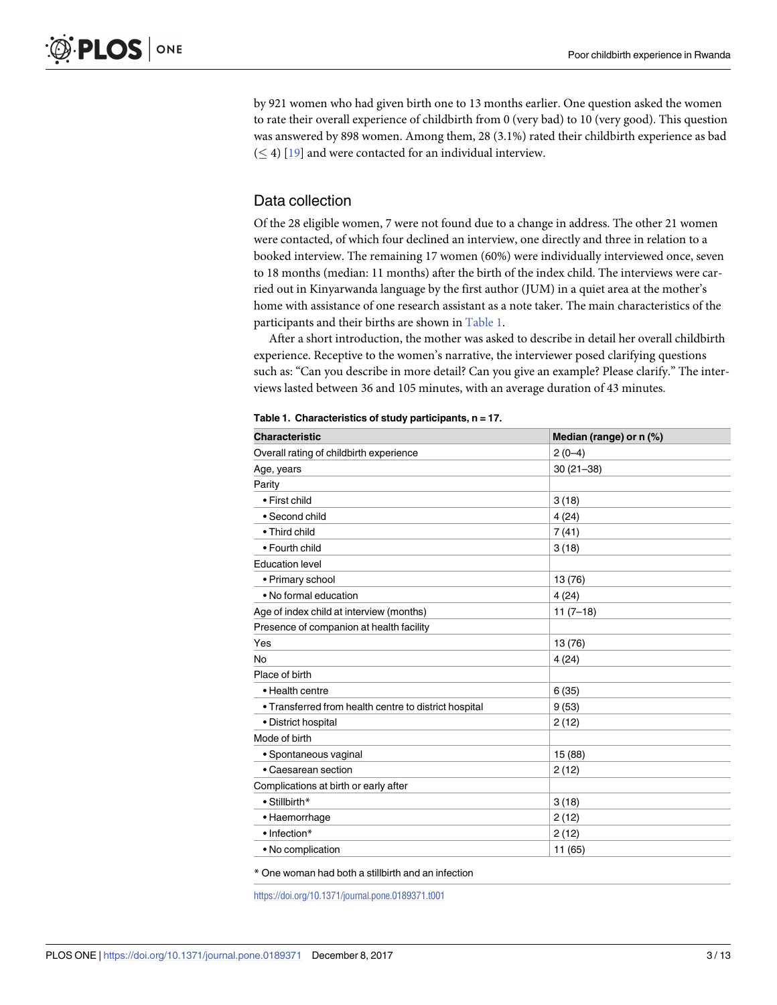<span id="page-2-0"></span>by 921 women who had given birth one to 13 months earlier. One question asked the women to rate their overall experience of childbirth from 0 (very bad) to 10 (very good). This question was answered by 898 women. Among them, 28 (3.1%) rated their childbirth experience as bad  $(\leq 4)$  [\[19\]](#page-11-0) and were contacted for an individual interview.

#### Data collection

Of the 28 eligible women, 7 were not found due to a change in address. The other 21 women were contacted, of which four declined an interview, one directly and three in relation to a booked interview. The remaining 17 women (60%) were individually interviewed once, seven to 18 months (median: 11 months) after the birth of the index child. The interviews were carried out in Kinyarwanda language by the first author (JUM) in a quiet area at the mother's home with assistance of one research assistant as a note taker. The main characteristics of the participants and their births are shown in Table 1.

After a short introduction, the mother was asked to describe in detail her overall childbirth experience. Receptive to the women's narrative, the interviewer posed clarifying questions such as: "Can you describe in more detail? Can you give an example? Please clarify." The interviews lasted between 36 and 105 minutes, with an average duration of 43 minutes.

| <b>Characteristic</b>                                 | Median (range) or n (%) |
|-------------------------------------------------------|-------------------------|
| Overall rating of childbirth experience               | $2(0-4)$                |
| Age, years                                            | $30(21 - 38)$           |
| Parity                                                |                         |
| • First child                                         | 3(18)                   |
| • Second child                                        | 4(24)                   |
| • Third child                                         | 7(41)                   |
| • Fourth child                                        | 3(18)                   |
| <b>Education level</b>                                |                         |
| • Primary school                                      | 13 (76)                 |
| • No formal education                                 | 4(24)                   |
| Age of index child at interview (months)              | $11(7-18)$              |
| Presence of companion at health facility              |                         |
| Yes                                                   | 13 (76)                 |
| No                                                    | 4(24)                   |
| Place of birth                                        |                         |
| • Health centre                                       | 6(35)                   |
| • Transferred from health centre to district hospital | 9(53)                   |
| • District hospital                                   | 2(12)                   |
| Mode of birth                                         |                         |
| • Spontaneous vaginal                                 | 15 (88)                 |
| • Caesarean section                                   | 2(12)                   |
| Complications at birth or early after                 |                         |
| • Stillbirth*                                         | 3(18)                   |
| • Haemorrhage                                         | 2(12)                   |
| • Infection*                                          | 2(12)                   |
| • No complication                                     | 11 (65)                 |

| Table 1. Characteristics of study participants, n = 17. |  |
|---------------------------------------------------------|--|
|---------------------------------------------------------|--|

\* One woman had both a stillbirth and an infection

<https://doi.org/10.1371/journal.pone.0189371.t001>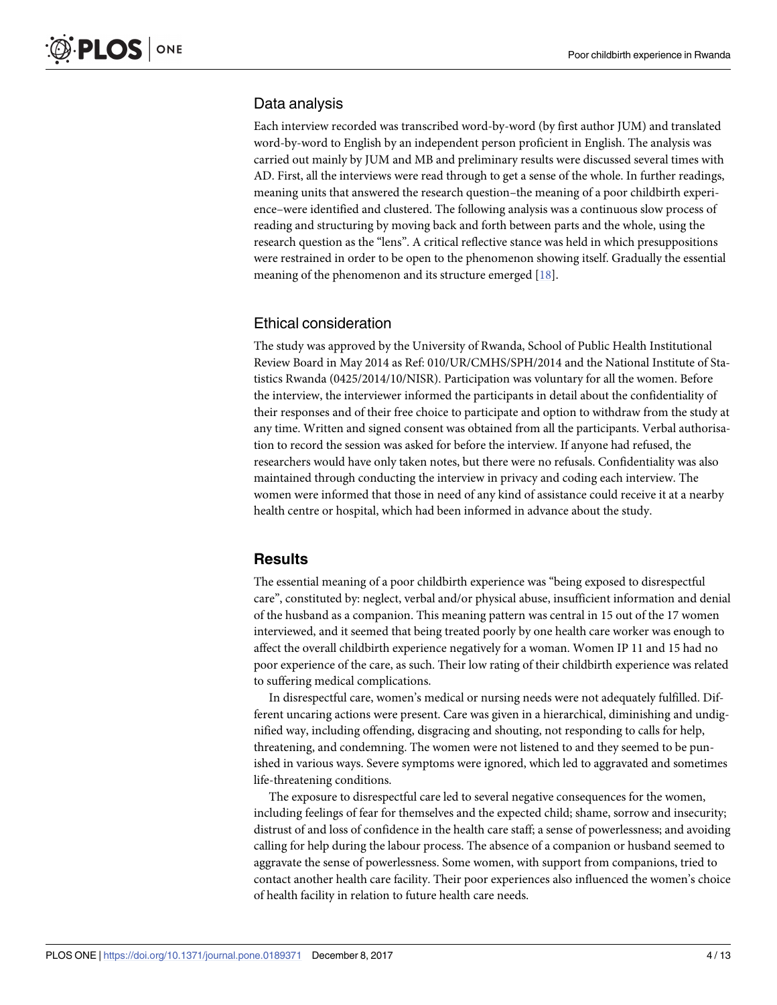#### Data analysis

Each interview recorded was transcribed word-by-word (by first author JUM) and translated word-by-word to English by an independent person proficient in English. The analysis was carried out mainly by JUM and MB and preliminary results were discussed several times with AD. First, all the interviews were read through to get a sense of the whole. In further readings, meaning units that answered the research question–the meaning of a poor childbirth experience–were identified and clustered. The following analysis was a continuous slow process of reading and structuring by moving back and forth between parts and the whole, using the research question as the "lens". A critical reflective stance was held in which presuppositions were restrained in order to be open to the phenomenon showing itself. Gradually the essential meaning of the phenomenon and its structure emerged [\[18\]](#page-11-0).

#### Ethical consideration

The study was approved by the University of Rwanda, School of Public Health Institutional Review Board in May 2014 as Ref: 010/UR/CMHS/SPH/2014 and the National Institute of Statistics Rwanda (0425/2014/10/NISR). Participation was voluntary for all the women. Before the interview, the interviewer informed the participants in detail about the confidentiality of their responses and of their free choice to participate and option to withdraw from the study at any time. Written and signed consent was obtained from all the participants. Verbal authorisation to record the session was asked for before the interview. If anyone had refused, the researchers would have only taken notes, but there were no refusals. Confidentiality was also maintained through conducting the interview in privacy and coding each interview. The women were informed that those in need of any kind of assistance could receive it at a nearby health centre or hospital, which had been informed in advance about the study.

#### **Results**

The essential meaning of a poor childbirth experience was "being exposed to disrespectful care", constituted by: neglect, verbal and/or physical abuse, insufficient information and denial of the husband as a companion. This meaning pattern was central in 15 out of the 17 women interviewed, and it seemed that being treated poorly by one health care worker was enough to affect the overall childbirth experience negatively for a woman. Women IP 11 and 15 had no poor experience of the care, as such. Their low rating of their childbirth experience was related to suffering medical complications.

In disrespectful care, women's medical or nursing needs were not adequately fulfilled. Different uncaring actions were present. Care was given in a hierarchical, diminishing and undignified way, including offending, disgracing and shouting, not responding to calls for help, threatening, and condemning. The women were not listened to and they seemed to be punished in various ways. Severe symptoms were ignored, which led to aggravated and sometimes life-threatening conditions.

The exposure to disrespectful care led to several negative consequences for the women, including feelings of fear for themselves and the expected child; shame, sorrow and insecurity; distrust of and loss of confidence in the health care staff; a sense of powerlessness; and avoiding calling for help during the labour process. The absence of a companion or husband seemed to aggravate the sense of powerlessness. Some women, with support from companions, tried to contact another health care facility. Their poor experiences also influenced the women's choice of health facility in relation to future health care needs.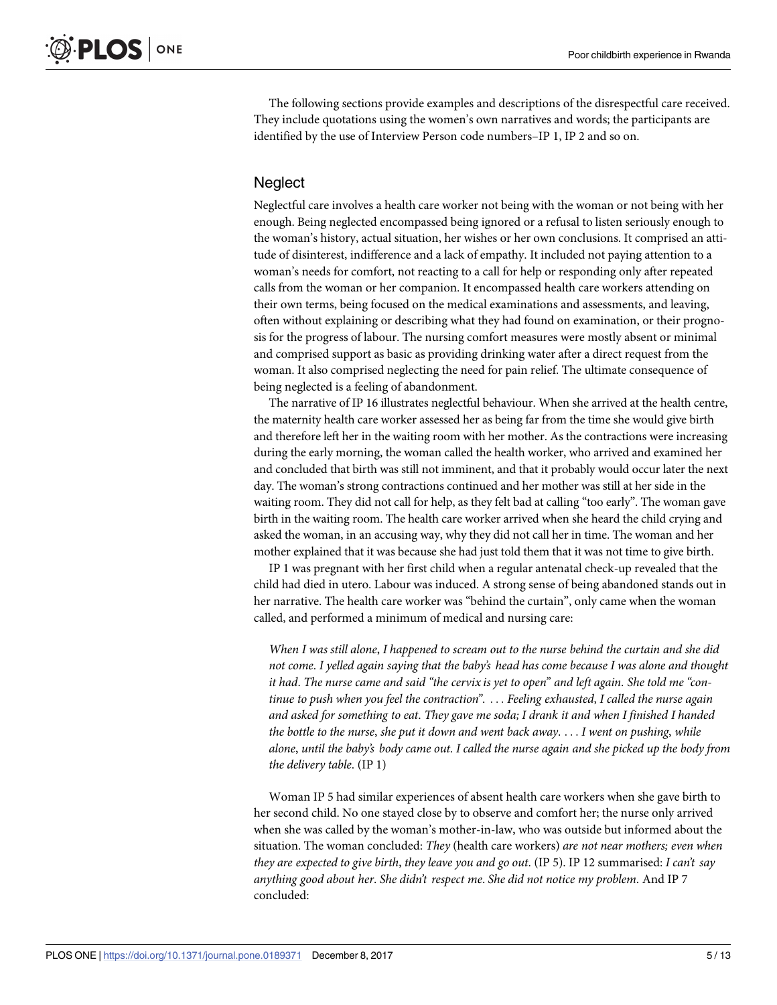The following sections provide examples and descriptions of the disrespectful care received. They include quotations using the women's own narratives and words; the participants are identified by the use of Interview Person code numbers–IP 1, IP 2 and so on.

#### **Neglect**

Neglectful care involves a health care worker not being with the woman or not being with her enough. Being neglected encompassed being ignored or a refusal to listen seriously enough to the woman's history, actual situation, her wishes or her own conclusions. It comprised an attitude of disinterest, indifference and a lack of empathy. It included not paying attention to a woman's needs for comfort, not reacting to a call for help or responding only after repeated calls from the woman or her companion. It encompassed health care workers attending on their own terms, being focused on the medical examinations and assessments, and leaving, often without explaining or describing what they had found on examination, or their prognosis for the progress of labour. The nursing comfort measures were mostly absent or minimal and comprised support as basic as providing drinking water after a direct request from the woman. It also comprised neglecting the need for pain relief. The ultimate consequence of being neglected is a feeling of abandonment.

The narrative of IP 16 illustrates neglectful behaviour. When she arrived at the health centre, the maternity health care worker assessed her as being far from the time she would give birth and therefore left her in the waiting room with her mother. As the contractions were increasing during the early morning, the woman called the health worker, who arrived and examined her and concluded that birth was still not imminent, and that it probably would occur later the next day. The woman's strong contractions continued and her mother was still at her side in the waiting room. They did not call for help, as they felt bad at calling "too early". The woman gave birth in the waiting room. The health care worker arrived when she heard the child crying and asked the woman, in an accusing way, why they did not call her in time. The woman and her mother explained that it was because she had just told them that it was not time to give birth.

IP 1 was pregnant with her first child when a regular antenatal check-up revealed that the child had died in utero. Labour was induced. A strong sense of being abandoned stands out in her narrative. The health care worker was "behind the curtain", only came when the woman called, and performed a minimum of medical and nursing care:

When I was still alone, I happened to scream out to the nurse behind the curtain and she did *not come*. *I yelled again saying that the baby's head has come because I was alone and thought* it had. The nurse came and said "the cervix is yet to open" and left again. She told me "con*tinue to push when you feel the contraction"*. . . . *Feeling exhausted*, *I called the nurse again and asked for something to eat*. *They gave me soda; I drank it and when I finished I handed the bottle to the nurse*, *she put it down and went back away*. . . . *I went on pushing*, *while* alone, until the baby's body came out. I called the nurse again and she picked up the body from *the delivery table*. (IP 1)

Woman IP 5 had similar experiences of absent health care workers when she gave birth to her second child. No one stayed close by to observe and comfort her; the nurse only arrived when she was called by the woman's mother-in-law, who was outside but informed about the situation. The woman concluded: *They* (health care workers) *are not near mothers; even when they are expected to give birth*, *they leave you and go out*. (IP 5). IP 12 summarised: *I can't say anything good about her*. *She didn't respect me*. *She did not notice my problem*. And IP 7 concluded: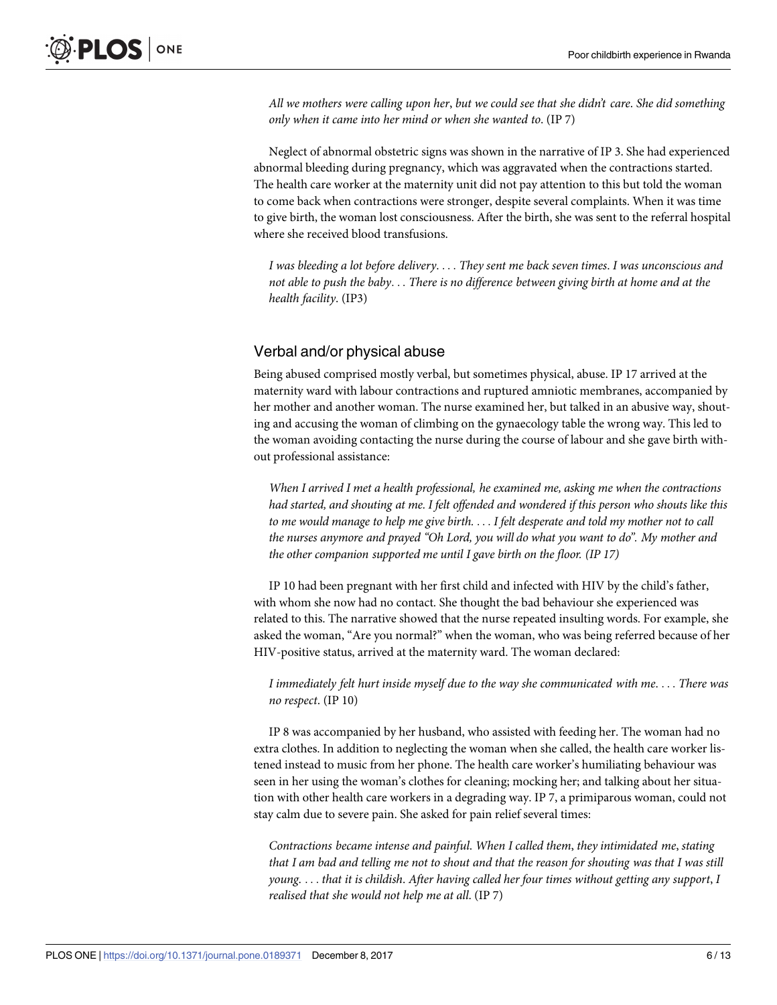*All we mothers were calling upon her*, *but we could see that she didn't care*. *She did something only when it came into her mind or when she wanted to*. (IP 7)

Neglect of abnormal obstetric signs was shown in the narrative of IP 3. She had experienced abnormal bleeding during pregnancy, which was aggravated when the contractions started. The health care worker at the maternity unit did not pay attention to this but told the woman to come back when contractions were stronger, despite several complaints. When it was time to give birth, the woman lost consciousness. After the birth, she was sent to the referral hospital where she received blood transfusions.

*I was bleeding a lot before delivery*. . . . *They sent me back seven times*. *I was unconscious and not able to push the baby*. . . *There is no difference between giving birth at home and at the health facility*. (IP3)

# Verbal and/or physical abuse

Being abused comprised mostly verbal, but sometimes physical, abuse. IP 17 arrived at the maternity ward with labour contractions and ruptured amniotic membranes, accompanied by her mother and another woman. The nurse examined her, but talked in an abusive way, shouting and accusing the woman of climbing on the gynaecology table the wrong way. This led to the woman avoiding contacting the nurse during the course of labour and she gave birth without professional assistance:

*When I arrived I met a health professional, he examined me, asking me when the contractions had started, and shouting at me. I felt offended and wondered if this person who shouts like this* to me would manage to help me give birth.... I felt desperate and told my mother not to call *the nurses anymore and prayed "Oh Lord, you will do what you want to do". My mother and the other companion supported me until I gave birth on the floor. (IP 17)*

IP 10 had been pregnant with her first child and infected with HIV by the child's father, with whom she now had no contact. She thought the bad behaviour she experienced was related to this. The narrative showed that the nurse repeated insulting words. For example, she asked the woman, "Are you normal?" when the woman, who was being referred because of her HIV-positive status, arrived at the maternity ward. The woman declared:

*I immediately felt hurt inside myself due to the way she communicated with me*. . . . *There was no respect*. (IP 10)

IP 8 was accompanied by her husband, who assisted with feeding her. The woman had no extra clothes. In addition to neglecting the woman when she called, the health care worker listened instead to music from her phone. The health care worker's humiliating behaviour was seen in her using the woman's clothes for cleaning; mocking her; and talking about her situation with other health care workers in a degrading way. IP 7, a primiparous woman, could not stay calm due to severe pain. She asked for pain relief several times:

*Contractions became intense and painful*. *When I called them*, *they intimidated me*, *stating* that I am bad and telling me not to shout and that the reason for shouting was that I was still *young*. . . . *that it is childish*. *After having called her four times without getting any support*, *I realised that she would not help me at all*. (IP 7)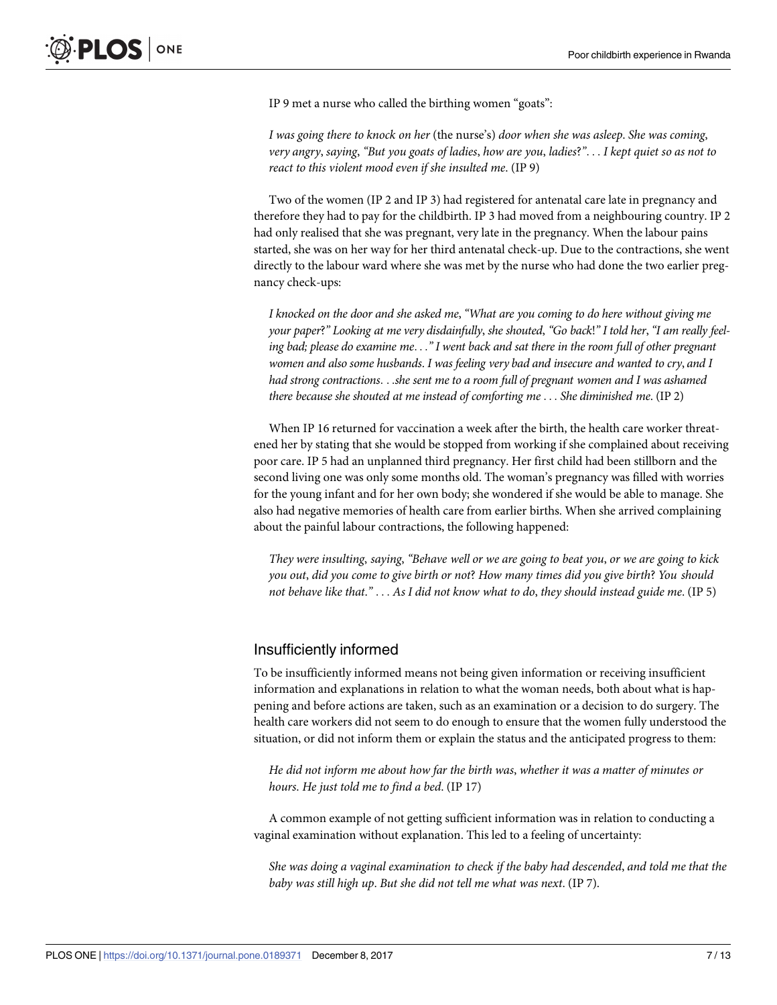IP 9 met a nurse who called the birthing women "goats":

*I was going there to knock on her* (the nurse's) *door when she was asleep*. *She was coming*, very angry, saying, "But you goats of ladies, how are you, ladies?"... I kept quiet so as not to *react to this violent mood even if she insulted me*. (IP 9)

Two of the women (IP 2 and IP 3) had registered for antenatal care late in pregnancy and therefore they had to pay for the childbirth. IP 3 had moved from a neighbouring country. IP 2 had only realised that she was pregnant, very late in the pregnancy. When the labour pains started, she was on her way for her third antenatal check-up. Due to the contractions, she went directly to the labour ward where she was met by the nurse who had done the two earlier pregnancy check-ups:

*I knocked on the door and she asked me*, *"What are you coming to do here without giving me* your paper?" Looking at me very disdainfully, she shouted, "Go back!" I told her, "I am really feeling bad; please do examine me..." I went back and sat there in the room full of other pregnant *women and also some husbands*. *I was feeling very bad and insecure and wanted to cry*, *and I had strong contractions*. . .*she sent me to a room full of pregnant women and I was ashamed there because she shouted at me instead of comforting me* . . . *She diminished me*. (IP 2)

When IP 16 returned for vaccination a week after the birth, the health care worker threatened her by stating that she would be stopped from working if she complained about receiving poor care. IP 5 had an unplanned third pregnancy. Her first child had been stillborn and the second living one was only some months old. The woman's pregnancy was filled with worries for the young infant and for her own body; she wondered if she would be able to manage. She also had negative memories of health care from earlier births. When she arrived complaining about the painful labour contractions, the following happened:

They were insulting, saying, "Behave well or we are going to beat you, or we are going to kick *you out*, *did you come to give birth or not*? *How many times did you give birth*? *You should not behave like that*.*"* . . . *As I did not know what to do*, *they should instead guide me*. (IP 5)

#### Insufficiently informed

To be insufficiently informed means not being given information or receiving insufficient information and explanations in relation to what the woman needs, both about what is happening and before actions are taken, such as an examination or a decision to do surgery. The health care workers did not seem to do enough to ensure that the women fully understood the situation, or did not inform them or explain the status and the anticipated progress to them:

*He did not inform me about how far the birth was*, *whether it was a matter of minutes or hours*. *He just told me to find a bed*. (IP 17)

A common example of not getting sufficient information was in relation to conducting a vaginal examination without explanation. This led to a feeling of uncertainty:

*She was doing a vaginal examination to check if the baby had descended*, *and told me that the baby was still high up*. *But she did not tell me what was next*. (IP 7).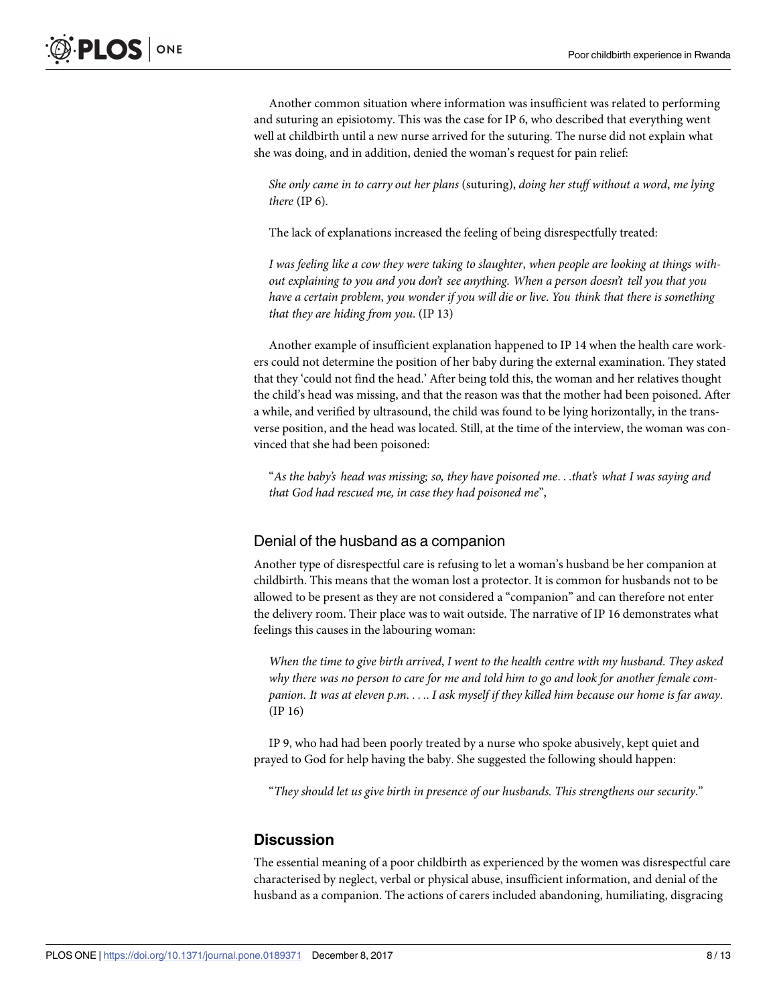Another common situation where information was insufficient was related to performing and suturing an episiotomy. This was the case for IP 6, who described that everything went well at childbirth until a new nurse arrived for the suturing. The nurse did not explain what she was doing, and in addition, denied the woman's request for pain relief:

*She only came in to carry out her plans* (suturing), *doing her stuff without a word*, *me lying there* (IP 6).

The lack of explanations increased the feeling of being disrespectfully treated:

*I was feeling like a cow they were taking to slaughter*, *when people are looking at things without explaining to you and you don't see anything*. *When a person doesn't tell you that you have a certain problem*, *you wonder if you will die or live*. *You think that there is something that they are hiding from you*. (IP 13)

Another example of insufficient explanation happened to IP 14 when the health care workers could not determine the position of her baby during the external examination. They stated that they 'could not find the head.' After being told this, the woman and her relatives thought the child's head was missing, and that the reason was that the mother had been poisoned. After a while, and verified by ultrasound, the child was found to be lying horizontally, in the transverse position, and the head was located. Still, at the time of the interview, the woman was convinced that she had been poisoned:

"*As the baby's head was missing; so, they have poisoned me*. . .*that's what I was saying and that God had rescued me, in case they had poisoned me*",

#### Denial of the husband as a companion

Another type of disrespectful care is refusing to let a woman's husband be her companion at childbirth. This means that the woman lost a protector. It is common for husbands not to be allowed to be present as they are not considered a "companion" and can therefore not enter the delivery room. Their place was to wait outside. The narrative of IP 16 demonstrates what feelings this causes in the labouring woman:

*When the time to give birth arrived*, *I went to the health centre with my husband*. *They asked* why there was no person to care for me and told him to go and look for another female companion. It was at eleven p.m. . . . . I ask myself if they killed him because our home is far away. (IP 16)

IP 9, who had had been poorly treated by a nurse who spoke abusively, kept quiet and prayed to God for help having the baby. She suggested the following should happen:

"*They should let us give birth in presence of our husbands. This strengthens our security*."

#### **Discussion**

The essential meaning of a poor childbirth as experienced by the women was disrespectful care characterised by neglect, verbal or physical abuse, insufficient information, and denial of the husband as a companion. The actions of carers included abandoning, humiliating, disgracing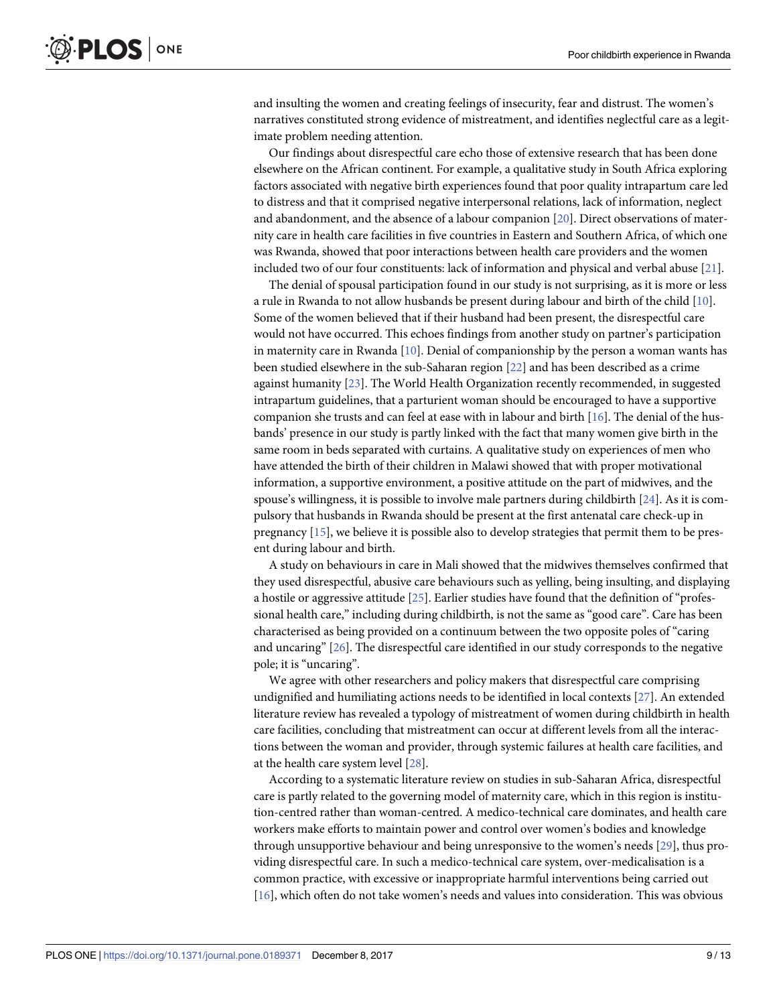<span id="page-8-0"></span>and insulting the women and creating feelings of insecurity, fear and distrust. The women's narratives constituted strong evidence of mistreatment, and identifies neglectful care as a legitimate problem needing attention.

Our findings about disrespectful care echo those of extensive research that has been done elsewhere on the African continent. For example, a qualitative study in South Africa exploring factors associated with negative birth experiences found that poor quality intrapartum care led to distress and that it comprised negative interpersonal relations, lack of information, neglect and abandonment, and the absence of a labour companion [\[20\]](#page-11-0). Direct observations of maternity care in health care facilities in five countries in Eastern and Southern Africa, of which one was Rwanda, showed that poor interactions between health care providers and the women included two of our four constituents: lack of information and physical and verbal abuse [[21](#page-11-0)].

The denial of spousal participation found in our study is not surprising, as it is more or less a rule in Rwanda to not allow husbands be present during labour and birth of the child [\[10\]](#page-11-0). Some of the women believed that if their husband had been present, the disrespectful care would not have occurred. This echoes findings from another study on partner's participation in maternity care in Rwanda [[10](#page-11-0)]. Denial of companionship by the person a woman wants has been studied elsewhere in the sub-Saharan region [\[22\]](#page-11-0) and has been described as a crime against humanity [[23](#page-11-0)]. The World Health Organization recently recommended, in suggested intrapartum guidelines, that a parturient woman should be encouraged to have a supportive companion she trusts and can feel at ease with in labour and birth [\[16\]](#page-11-0). The denial of the husbands' presence in our study is partly linked with the fact that many women give birth in the same room in beds separated with curtains. A qualitative study on experiences of men who have attended the birth of their children in Malawi showed that with proper motivational information, a supportive environment, a positive attitude on the part of midwives, and the spouse's willingness, it is possible to involve male partners during childbirth [[24](#page-11-0)]. As it is compulsory that husbands in Rwanda should be present at the first antenatal care check-up in pregnancy [\[15\]](#page-11-0), we believe it is possible also to develop strategies that permit them to be present during labour and birth.

A study on behaviours in care in Mali showed that the midwives themselves confirmed that they used disrespectful, abusive care behaviours such as yelling, being insulting, and displaying a hostile or aggressive attitude [[25](#page-11-0)]. Earlier studies have found that the definition of "professional health care," including during childbirth, is not the same as "good care". Care has been characterised as being provided on a continuum between the two opposite poles of "caring and uncaring" [[26](#page-11-0)]. The disrespectful care identified in our study corresponds to the negative pole; it is "uncaring".

We agree with other researchers and policy makers that disrespectful care comprising undignified and humiliating actions needs to be identified in local contexts [[27](#page-11-0)]. An extended literature review has revealed a typology of mistreatment of women during childbirth in health care facilities, concluding that mistreatment can occur at different levels from all the interactions between the woman and provider, through systemic failures at health care facilities, and at the health care system level [[28](#page-11-0)].

According to a systematic literature review on studies in sub-Saharan Africa, disrespectful care is partly related to the governing model of maternity care, which in this region is institution-centred rather than woman-centred. A medico-technical care dominates, and health care workers make efforts to maintain power and control over women's bodies and knowledge through unsupportive behaviour and being unresponsive to the women's needs [\[29\]](#page-12-0), thus providing disrespectful care. In such a medico-technical care system, over-medicalisation is a common practice, with excessive or inappropriate harmful interventions being carried out [\[16\]](#page-11-0), which often do not take women's needs and values into consideration. This was obvious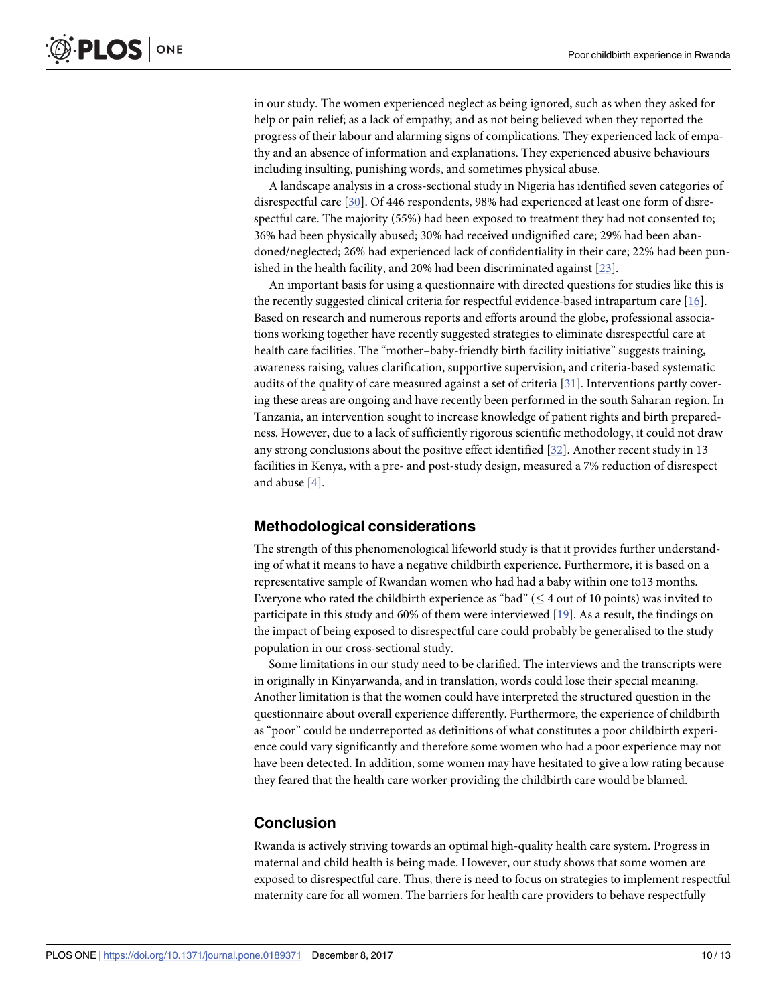<span id="page-9-0"></span>in our study. The women experienced neglect as being ignored, such as when they asked for help or pain relief; as a lack of empathy; and as not being believed when they reported the progress of their labour and alarming signs of complications. They experienced lack of empathy and an absence of information and explanations. They experienced abusive behaviours including insulting, punishing words, and sometimes physical abuse.

A landscape analysis in a cross-sectional study in Nigeria has identified seven categories of disrespectful care [[30](#page-12-0)]. Of 446 respondents, 98% had experienced at least one form of disrespectful care. The majority (55%) had been exposed to treatment they had not consented to; 36% had been physically abused; 30% had received undignified care; 29% had been abandoned/neglected; 26% had experienced lack of confidentiality in their care; 22% had been punished in the health facility, and 20% had been discriminated against [\[23\]](#page-11-0).

An important basis for using a questionnaire with directed questions for studies like this is the recently suggested clinical criteria for respectful evidence-based intrapartum care [\[16\]](#page-11-0). Based on research and numerous reports and efforts around the globe, professional associations working together have recently suggested strategies to eliminate disrespectful care at health care facilities. The "mother–baby-friendly birth facility initiative" suggests training, awareness raising, values clarification, supportive supervision, and criteria-based systematic audits of the quality of care measured against a set of criteria [[31](#page-12-0)]. Interventions partly covering these areas are ongoing and have recently been performed in the south Saharan region. In Tanzania, an intervention sought to increase knowledge of patient rights and birth preparedness. However, due to a lack of sufficiently rigorous scientific methodology, it could not draw any strong conclusions about the positive effect identified [\[32\]](#page-12-0). Another recent study in 13 facilities in Kenya, with a pre- and post-study design, measured a 7% reduction of disrespect and abuse [\[4](#page-10-0)].

#### **Methodological considerations**

The strength of this phenomenological lifeworld study is that it provides further understanding of what it means to have a negative childbirth experience. Furthermore, it is based on a representative sample of Rwandan women who had had a baby within one to13 months. Everyone who rated the childbirth experience as "bad" ( $\leq 4$  out of 10 points) was invited to participate in this study and 60% of them were interviewed  $[19]$ . As a result, the findings on the impact of being exposed to disrespectful care could probably be generalised to the study population in our cross-sectional study.

Some limitations in our study need to be clarified. The interviews and the transcripts were in originally in Kinyarwanda, and in translation, words could lose their special meaning. Another limitation is that the women could have interpreted the structured question in the questionnaire about overall experience differently. Furthermore, the experience of childbirth as "poor" could be underreported as definitions of what constitutes a poor childbirth experience could vary significantly and therefore some women who had a poor experience may not have been detected. In addition, some women may have hesitated to give a low rating because they feared that the health care worker providing the childbirth care would be blamed.

#### **Conclusion**

Rwanda is actively striving towards an optimal high-quality health care system. Progress in maternal and child health is being made. However, our study shows that some women are exposed to disrespectful care. Thus, there is need to focus on strategies to implement respectful maternity care for all women. The barriers for health care providers to behave respectfully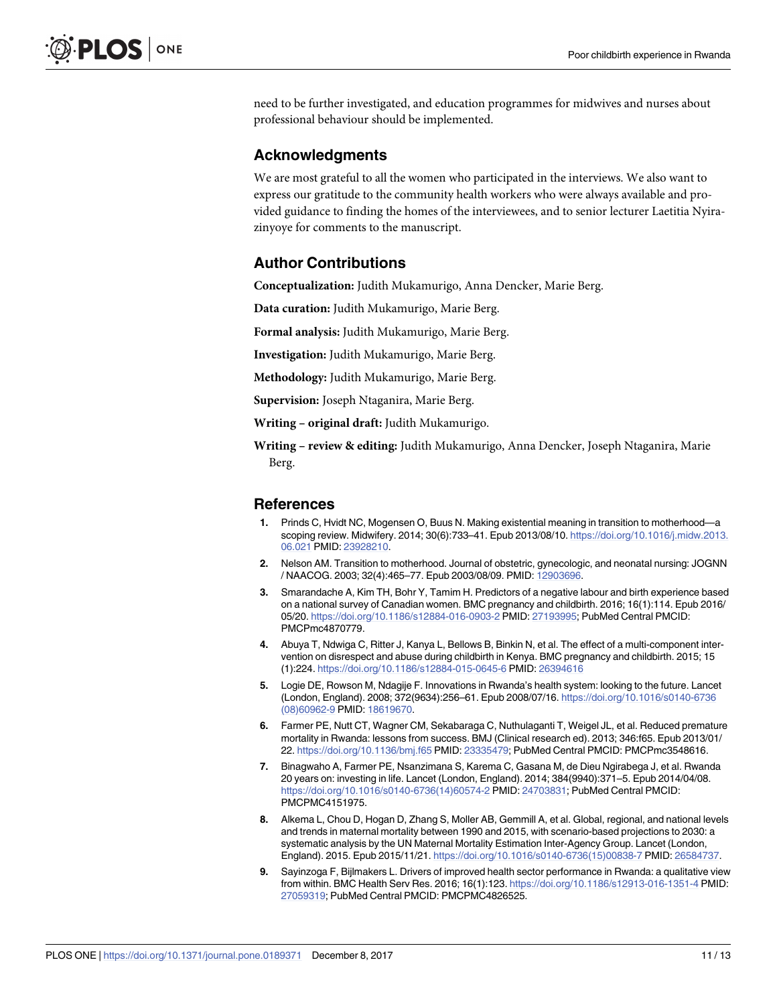<span id="page-10-0"></span>need to be further investigated, and education programmes for midwives and nurses about professional behaviour should be implemented.

#### **Acknowledgments**

We are most grateful to all the women who participated in the interviews. We also want to express our gratitude to the community health workers who were always available and provided guidance to finding the homes of the interviewees, and to senior lecturer Laetitia Nyirazinyoye for comments to the manuscript.

# **Author Contributions**

**Conceptualization:** Judith Mukamurigo, Anna Dencker, Marie Berg.

**Data curation:** Judith Mukamurigo, Marie Berg.

**Formal analysis:** Judith Mukamurigo, Marie Berg.

**Investigation:** Judith Mukamurigo, Marie Berg.

**Methodology:** Judith Mukamurigo, Marie Berg.

**Supervision:** Joseph Ntaganira, Marie Berg.

**Writing – original draft:** Judith Mukamurigo.

**Writing – review & editing:** Judith Mukamurigo, Anna Dencker, Joseph Ntaganira, Marie Berg.

#### **References**

- **[1](#page-1-0).** Prinds C, Hvidt NC, Mogensen O, Buus N. Making existential meaning in transition to motherhood—a scoping review. Midwifery. 2014; 30(6):733–41. Epub 2013/08/10. [https://doi.org/10.1016/j.midw.2013.](https://doi.org/10.1016/j.midw.2013.06.021) [06.021](https://doi.org/10.1016/j.midw.2013.06.021) PMID: [23928210.](http://www.ncbi.nlm.nih.gov/pubmed/23928210)
- **[2](#page-1-0).** Nelson AM. Transition to motherhood. Journal of obstetric, gynecologic, and neonatal nursing: JOGNN / NAACOG. 2003; 32(4):465–77. Epub 2003/08/09. PMID: [12903696.](http://www.ncbi.nlm.nih.gov/pubmed/12903696)
- **[3](#page-1-0).** Smarandache A, Kim TH, Bohr Y, Tamim H. Predictors of a negative labour and birth experience based on a national survey of Canadian women. BMC pregnancy and childbirth. 2016; 16(1):114. Epub 2016/ 05/20. <https://doi.org/10.1186/s12884-016-0903-2> PMID: [27193995;](http://www.ncbi.nlm.nih.gov/pubmed/27193995) PubMed Central PMCID: PMCPmc4870779.
- **[4](#page-1-0).** Abuya T, Ndwiga C, Ritter J, Kanya L, Bellows B, Binkin N, et al. The effect of a multi-component intervention on disrespect and abuse during childbirth in Kenya. BMC pregnancy and childbirth. 2015; 15 (1):224. <https://doi.org/10.1186/s12884-015-0645-6> PMID: [26394616](http://www.ncbi.nlm.nih.gov/pubmed/26394616)
- **5.** Logie DE, Rowson M, Ndagije F. Innovations in Rwanda's health system: looking to the future. Lancet (London, England). 2008; 372(9634):256–61. Epub 2008/07/16. [https://doi.org/10.1016/s0140-6736](https://doi.org/10.1016/s0140-6736(08)60962-9) [\(08\)60962-9](https://doi.org/10.1016/s0140-6736(08)60962-9) PMID: [18619670.](http://www.ncbi.nlm.nih.gov/pubmed/18619670)
- **6.** Farmer PE, Nutt CT, Wagner CM, Sekabaraga C, Nuthulaganti T, Weigel JL, et al. Reduced premature mortality in Rwanda: lessons from success. BMJ (Clinical research ed). 2013; 346:f65. Epub 2013/01/ 22. <https://doi.org/10.1136/bmj.f65> PMID: [23335479;](http://www.ncbi.nlm.nih.gov/pubmed/23335479) PubMed Central PMCID: PMCPmc3548616.
- **[7](#page-1-0).** Binagwaho A, Farmer PE, Nsanzimana S, Karema C, Gasana M, de Dieu Ngirabega J, et al. Rwanda 20 years on: investing in life. Lancet (London, England). 2014; 384(9940):371–5. Epub 2014/04/08. [https://doi.org/10.1016/s0140-6736\(14\)60574-2](https://doi.org/10.1016/s0140-6736(14)60574-2) PMID: [24703831;](http://www.ncbi.nlm.nih.gov/pubmed/24703831) PubMed Central PMCID: PMCPMC4151975.
- **[8](#page-1-0).** Alkema L, Chou D, Hogan D, Zhang S, Moller AB, Gemmill A, et al. Global, regional, and national levels and trends in maternal mortality between 1990 and 2015, with scenario-based projections to 2030: a systematic analysis by the UN Maternal Mortality Estimation Inter-Agency Group. Lancet (London, England). 2015. Epub 2015/11/21. [https://doi.org/10.1016/s0140-6736\(15\)00838-7](https://doi.org/10.1016/s0140-6736(15)00838-7) PMID: [26584737.](http://www.ncbi.nlm.nih.gov/pubmed/26584737)
- **9.** Sayinzoga F, Bijlmakers L. Drivers of improved health sector performance in Rwanda: a qualitative view from within. BMC Health Serv Res. 2016; 16(1):123. <https://doi.org/10.1186/s12913-016-1351-4> PMID: [27059319](http://www.ncbi.nlm.nih.gov/pubmed/27059319); PubMed Central PMCID: PMCPMC4826525.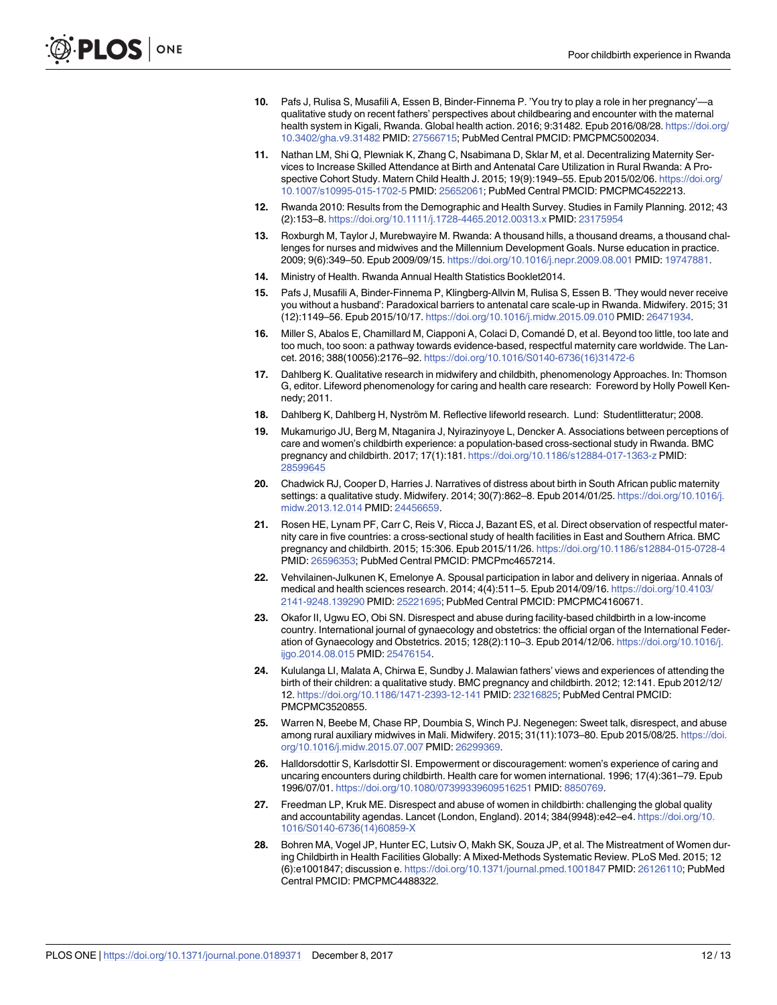- <span id="page-11-0"></span>**[10](#page-1-0).** Pafs J, Rulisa S, Musafili A, Essen B, Binder-Finnema P. 'You try to play a role in her pregnancy'—a qualitative study on recent fathers' perspectives about childbearing and encounter with the maternal health system in Kigali, Rwanda. Global health action. 2016; 9:31482. Epub 2016/08/28. [https://doi.org/](https://doi.org/10.3402/gha.v9.31482) [10.3402/gha.v9.31482](https://doi.org/10.3402/gha.v9.31482) PMID: [27566715](http://www.ncbi.nlm.nih.gov/pubmed/27566715); PubMed Central PMCID: PMCPMC5002034.
- **[11](#page-1-0).** Nathan LM, Shi Q, Plewniak K, Zhang C, Nsabimana D, Sklar M, et al. Decentralizing Maternity Services to Increase Skilled Attendance at Birth and Antenatal Care Utilization in Rural Rwanda: A Prospective Cohort Study. Matern Child Health J. 2015; 19(9):1949–55. Epub 2015/02/06. [https://doi.org/](https://doi.org/10.1007/s10995-015-1702-5) [10.1007/s10995-015-1702-5](https://doi.org/10.1007/s10995-015-1702-5) PMID: [25652061;](http://www.ncbi.nlm.nih.gov/pubmed/25652061) PubMed Central PMCID: PMCPMC4522213.
- **12.** Rwanda 2010: Results from the Demographic and Health Survey. Studies in Family Planning. 2012; 43 (2):153–8. <https://doi.org/10.1111/j.1728-4465.2012.00313.x> PMID: [23175954](http://www.ncbi.nlm.nih.gov/pubmed/23175954)
- **13.** Roxburgh M, Taylor J, Murebwayire M. Rwanda: A thousand hills, a thousand dreams, a thousand challenges for nurses and midwives and the Millennium Development Goals. Nurse education in practice. 2009; 9(6):349–50. Epub 2009/09/15. <https://doi.org/10.1016/j.nepr.2009.08.001> PMID: [19747881.](http://www.ncbi.nlm.nih.gov/pubmed/19747881)
- **14.** Ministry of Health. Rwanda Annual Health Statistics Booklet2014.
- **[15](#page-1-0).** Pafs J, Musafili A, Binder-Finnema P, Klingberg-Allvin M, Rulisa S, Essen B. 'They would never receive you without a husband': Paradoxical barriers to antenatal care scale-up in Rwanda. Midwifery. 2015; 31 (12):1149–56. Epub 2015/10/17. <https://doi.org/10.1016/j.midw.2015.09.010> PMID: [26471934.](http://www.ncbi.nlm.nih.gov/pubmed/26471934)
- **[16](#page-1-0).** Miller S, Abalos E, Chamillard M, Ciapponi A, Colaci D, Comande´ D, et al. Beyond too little, too late and too much, too soon: a pathway towards evidence-based, respectful maternity care worldwide. The Lancet. 2016; 388(10056):2176–92. [https://doi.org/10.1016/S0140-6736\(16\)31472-6](https://doi.org/10.1016/S0140-6736(16)31472-6)
- **[17](#page-1-0).** Dahlberg K. Qualitative research in midwifery and childbith, phenomenology Approaches. In: Thomson G, editor. Lifeword phenomenology for caring and health care research: Foreword by Holly Powell Kennedy; 2011.
- [18](#page-1-0). Dahlberg K, Dahlberg H, Nyström M. Reflective lifeworld research. Lund: Studentlitteratur; 2008.
- **[19](#page-2-0).** Mukamurigo JU, Berg M, Ntaganira J, Nyirazinyoye L, Dencker A. Associations between perceptions of care and women's childbirth experience: a population-based cross-sectional study in Rwanda. BMC pregnancy and childbirth. 2017; 17(1):181. <https://doi.org/10.1186/s12884-017-1363-z> PMID: [28599645](http://www.ncbi.nlm.nih.gov/pubmed/28599645)
- **[20](#page-8-0).** Chadwick RJ, Cooper D, Harries J. Narratives of distress about birth in South African public maternity settings: a qualitative study. Midwifery. 2014; 30(7):862–8. Epub 2014/01/25. [https://doi.org/10.1016/j.](https://doi.org/10.1016/j.midw.2013.12.014) [midw.2013.12.014](https://doi.org/10.1016/j.midw.2013.12.014) PMID: [24456659](http://www.ncbi.nlm.nih.gov/pubmed/24456659).
- **[21](#page-8-0).** Rosen HE, Lynam PF, Carr C, Reis V, Ricca J, Bazant ES, et al. Direct observation of respectful maternity care in five countries: a cross-sectional study of health facilities in East and Southern Africa. BMC pregnancy and childbirth. 2015; 15:306. Epub 2015/11/26. <https://doi.org/10.1186/s12884-015-0728-4> PMID: [26596353](http://www.ncbi.nlm.nih.gov/pubmed/26596353); PubMed Central PMCID: PMCPmc4657214.
- **[22](#page-8-0).** Vehvilainen-Julkunen K, Emelonye A. Spousal participation in labor and delivery in nigeriaa. Annals of medical and health sciences research. 2014; 4(4):511–5. Epub 2014/09/16. [https://doi.org/10.4103/](https://doi.org/10.4103/2141-9248.139290) [2141-9248.139290](https://doi.org/10.4103/2141-9248.139290) PMID: [25221695;](http://www.ncbi.nlm.nih.gov/pubmed/25221695) PubMed Central PMCID: PMCPMC4160671.
- **[23](#page-8-0).** Okafor II, Ugwu EO, Obi SN. Disrespect and abuse during facility-based childbirth in a low-income country. International journal of gynaecology and obstetrics: the official organ of the International Federation of Gynaecology and Obstetrics. 2015; 128(2):110–3. Epub 2014/12/06. [https://doi.org/10.1016/j.](https://doi.org/10.1016/j.ijgo.2014.08.015) [ijgo.2014.08.015](https://doi.org/10.1016/j.ijgo.2014.08.015) PMID: [25476154](http://www.ncbi.nlm.nih.gov/pubmed/25476154).
- **[24](#page-8-0).** Kululanga LI, Malata A, Chirwa E, Sundby J. Malawian fathers' views and experiences of attending the birth of their children: a qualitative study. BMC pregnancy and childbirth. 2012; 12:141. Epub 2012/12/ 12. <https://doi.org/10.1186/1471-2393-12-141> PMID: [23216825;](http://www.ncbi.nlm.nih.gov/pubmed/23216825) PubMed Central PMCID: PMCPMC3520855.
- **[25](#page-8-0).** Warren N, Beebe M, Chase RP, Doumbia S, Winch PJ. Negenegen: Sweet talk, disrespect, and abuse among rural auxiliary midwives in Mali. Midwifery. 2015; 31(11):1073–80. Epub 2015/08/25. [https://doi.](https://doi.org/10.1016/j.midw.2015.07.007) [org/10.1016/j.midw.2015.07.007](https://doi.org/10.1016/j.midw.2015.07.007) PMID: [26299369](http://www.ncbi.nlm.nih.gov/pubmed/26299369).
- **[26](#page-8-0).** Halldorsdottir S, Karlsdottir SI. Empowerment or discouragement: women's experience of caring and uncaring encounters during childbirth. Health care for women international. 1996; 17(4):361–79. Epub 1996/07/01. <https://doi.org/10.1080/07399339609516251> PMID: [8850769](http://www.ncbi.nlm.nih.gov/pubmed/8850769).
- **[27](#page-8-0).** Freedman LP, Kruk ME. Disrespect and abuse of women in childbirth: challenging the global quality and accountability agendas. Lancet (London, England). 2014; 384(9948):e42–e4. [https://doi.org/10.](https://doi.org/10.1016/S0140-6736(14)60859-X) [1016/S0140-6736\(14\)60859-X](https://doi.org/10.1016/S0140-6736(14)60859-X)
- **[28](#page-8-0).** Bohren MA, Vogel JP, Hunter EC, Lutsiv O, Makh SK, Souza JP, et al. The Mistreatment of Women during Childbirth in Health Facilities Globally: A Mixed-Methods Systematic Review. PLoS Med. 2015; 12 (6):e1001847; discussion e. <https://doi.org/10.1371/journal.pmed.1001847> PMID: [26126110;](http://www.ncbi.nlm.nih.gov/pubmed/26126110) PubMed Central PMCID: PMCPMC4488322.